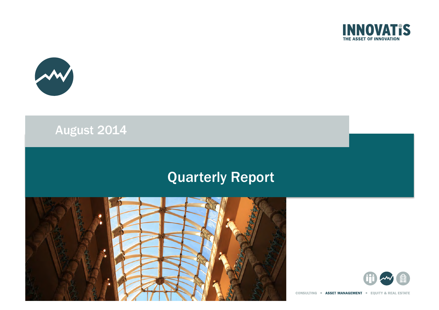



## August 2014

# Quarterly Report



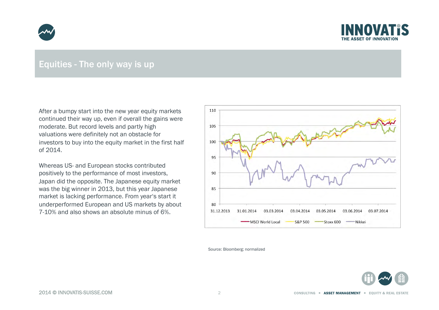



#### Equities - The only way is up

After a bumpy start into the new year equity markets continued their way up, even if overall the gains were moderate. But record levels and partly high valuations were definitely not an obstacle for investors to buy into the equity market in the first half of 2014.

Whereas US- and European stocks contributed positively to the performance of most investors, Japan did the opposite. The Japanese equity market was the big winner in 2013, but this year Japanese market is lacking performance. From year's start it underperformed European and US markets by about 7-10% and also shows an absolute minus of 6%.



Source: Bloomberg; normalized

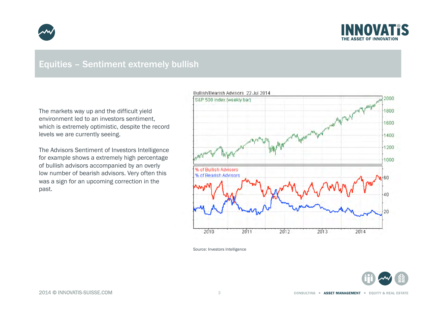



#### Equities – Sentiment extremely bullish

The markets way up and the difficult yield environment led to an investors sentiment, which is extremely optimistic, despite the record levels we are currently seeing.

The Advisors Sentiment of Investors Intelligence for example shows a extremely high percentage of bullish advisors accompanied by an overly low number of bearish advisors. Very often this was a sign for an upcoming correction in the past.





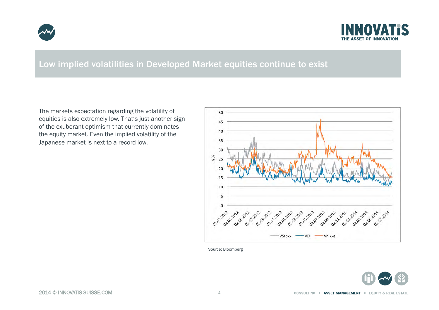



## Low implied volatilities in Developed Market equities continue to exist

The markets expectation regarding the volatility of equities is also extremely low. That's just another sign of the exuberant optimism that currently dominates the equity market. Even the implied volatility of the Japanese market is next to a record low.



Source: Bloomberg

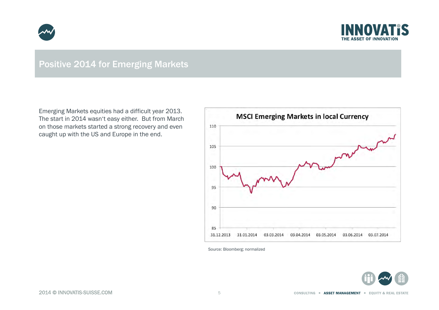



## Positive 2014 for Emerging Markets

Emerging Markets equities had a difficult year 2013. The start in 2014 wasn't easy either. But from March on those markets started a strong recovery and even caught up with the US and Europe in the end.



Source: Bloomberg; normalized

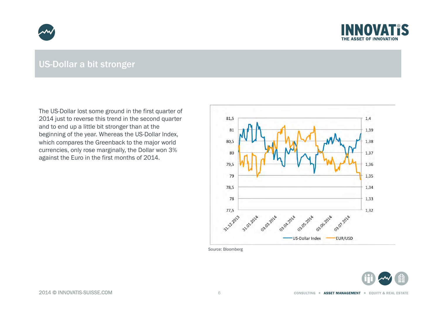



## US-Dollar a bit stronger

The US-Dollar lost some ground in the first quarter of 2014 just to reverse this trend in the second quarter and to end up a little bit stronger than at the beginning of the year. Whereas the US-Dollar Index, which compares the Greenback to the major world currencies, only rose marginally, the Dollar won 3% against the Euro in the first months of 2014.



Source: Bloomberg

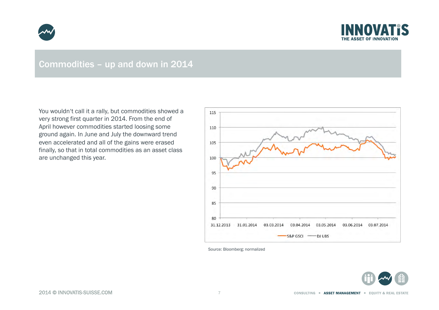



## Commodities – up and down in 2014

You wouldn't call it a rally, but commodities showed a very strong first quarter in 2014. From the end of April however commodities started loosing some ground again. In June and July the downward trend even accelerated and all of the gains were erased finally, so that in total commodities as an asset class are unchanged this year.



Source: Bloomberg; normalized

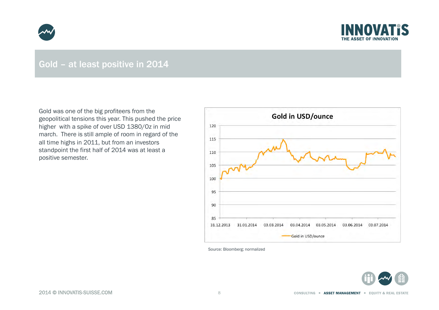



## Gold – at least positive in 2014

Gold was one of the big profiteers from the geopolitical tensions this year. This pushed the price higher with a spike of over USD 1380/Oz in mid march. There is still ample of room in regard of the all time highs in 2011, but from an investors standpoint the first half of 2014 was at least a positive semester.



Source: Bloomberg; normalized

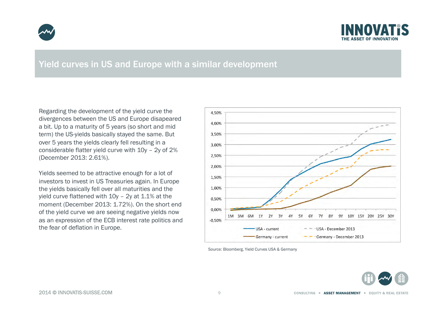



## Yield curves in US and Europe with a similar development

Regarding the development of the yield curve the divergences between the US and Europe disapeared a bit. Up to a maturity of 5 years (so short and mid term) the US-yields basically stayed the same. But over 5 years the yields clearly fell resulting in a considerable flatter yield curve with 10y – 2y of 2% (December 2013: 2.61%).

Yields seemed to be attractive enough for a lot of investors to invest in US Treasuries again. In Europe the yields basically fell over all maturities and the yield curve flattened with 10y – 2y at 1.1% at the moment (December 2013: 1.72%). On the short end of the yield curve we are seeing negative yields now as an expression of the ECB interest rate politics and the fear of deflation in Europe.



Source: Bloomberg, Yield Curves USA & Germany

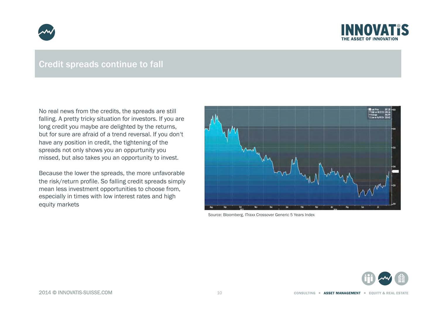



#### Credit spreads continue to fall

No real news from the credits, the spreads are still falling. A pretty tricky situation for investors. If you are long credit you maybe are delighted by the returns, but for sure are afraid of a trend reversal. If you don't have any position in credit, the tightening of the spreads not only shows you an oppurtunity you missed, but also takes you an opportunity to invest.

Because the lower the spreads, the more unfavorable the risk/return profile. So falling credit spreads simply mean less investment opportunities to choose from, especially in times with low interest rates and high equity markets



Source: Bloomberg, ITraxx Crossover Generic 5 Years Index

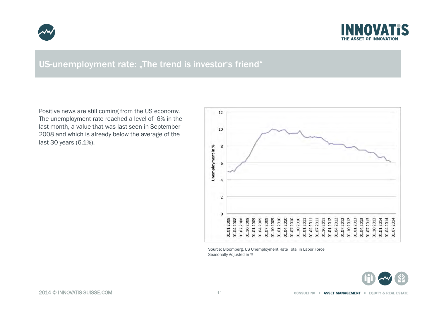



## US-unemployment rate: "The trend is investor's friend"

Positive news are still coming from the US economy. The unemployment rate reached a level of 6% in the last month, a value that was last seen in September 2008 and which is already below the average of the last 30 years (6.1%).



Source: Bloomberg, US Unemployment Rate Total in Labor Force Seasonally Adjusted in %

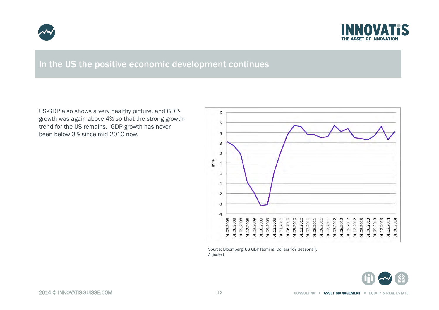



## In the US the positive economic development continues

US-GDP also shows a very healthy picture, and GDPgrowth was again above 4% so that the strong growthtrend for the US remains. GDP-growth has never been below 3% since mid 2010 now.



Source: Bloomberg; US GDP Nominal Dollars YoY Seasonally

Adjusted

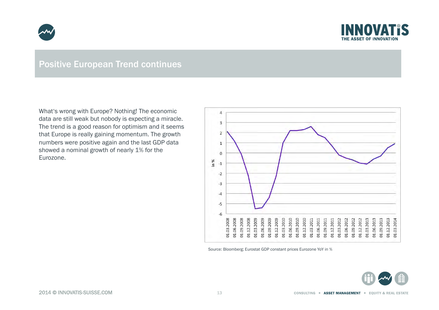



#### Positive European Trend continues

What's wrong with Europe? Nothing! The economic data are still weak but nobody is expecting a miracle. The trend is a good reason for optimism and it seems that Europe is really gaining momentum. The growth numbers were positive again and the last GDP data showed a nominal growth of nearly 1% for the Eurozone.



Source: Bloomberg; Eurostat GDP constant prices Eurozone YoY in %

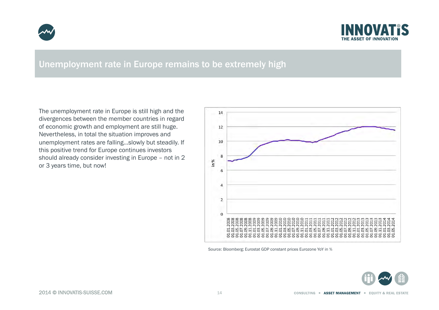



## Unemployment rate in Europe remains to be extremely high

The unemployment rate in Europe is still high and the divergences between the member countries in regard of economic growth and employment are still huge. Nevertheless, in total the situation improves and unemployment rates are falling...slowly but steadily. If this positive trend for Europe continues investors should already consider investing in Europe – not in 2 or 3 years time, but now!



Source: Bloomberg; Eurostat GDP constant prices Eurozone YoY in %

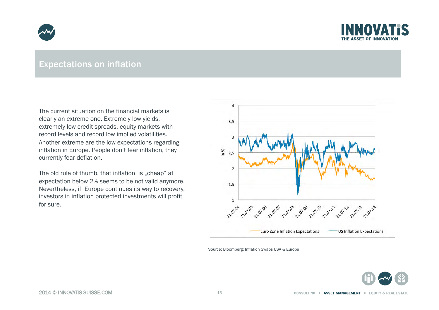



#### Expectations on inflation

The current situation on the financial markets is clearly an extreme one. Extremely low yields, extremely low credit spreads, equity markets with record levels and record low implied volatilities. Another extreme are the low expectations regarding inflation in Europe. People don't fear inflation, they currently fear deflation.

The old rule of thumb, that inflation is "cheap" at expectation below 2% seems to be not valid anymore. Nevertheless, if Europe continues its way to recovery, investors in inflation protected investments will profit for sure.



Source: Bloomberg; Inflation Swaps USA & Europe

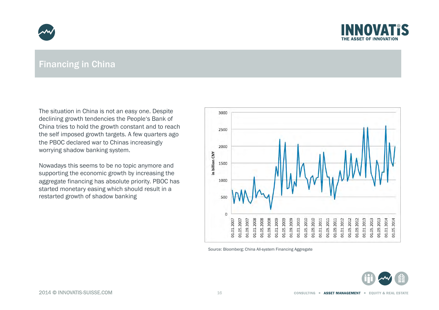



#### Financing in China

The situation in China is not an easy one. Despite declining growth tendencies the People's Bank of China tries to hold the growth constant and to reach the self imposed growth targets. A few quarters ago the PBOC declared war to Chinas increasingly worrying shadow banking system.

Nowadays this seems to be no topic anymore and supporting the economic growth by increasing the aggregate financing has absolute priority. PBOC has started monetary easing which should result in a restarted growth of shadow banking



Source: Bloomberg; China All-system Financing Aggregate

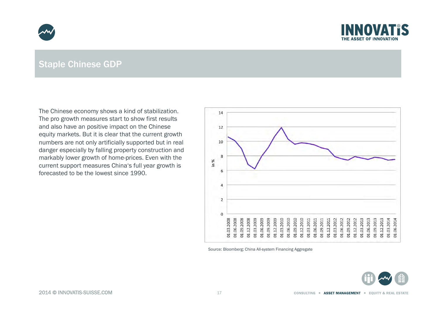



#### Staple Chinese GDP

The Chinese economy shows a kind of stabilization. The pro growth measures start to show first results and also have an positive impact on the Chinese equity markets. But it is clear that the current growth numbers are not only artificially supported but in real danger especially by falling property construction and markably lower growth of home-prices. Even with the current support measures China's full year growth is forecasted to be the lowest since 1990.



Source: Bloomberg; China All-system Financing Aggregate

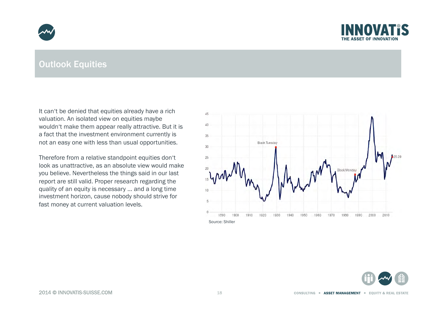



#### Outlook Equities

It can't be denied that equities already have a rich valuation. An isolated view on equities maybe wouldn't make them appear really attractive. But it is a fact that the investment environment currently is not an easy one with less than usual opportunities.

Therefore from a relative standpoint equities don't look as unattractive, as an absolute view would make you believe. Nevertheless the things said in our last report are still valid. Proper research regarding the quality of an equity is necessary ... and a long time investment horizon, cause nobody should strive for fast money at current valuation levels.



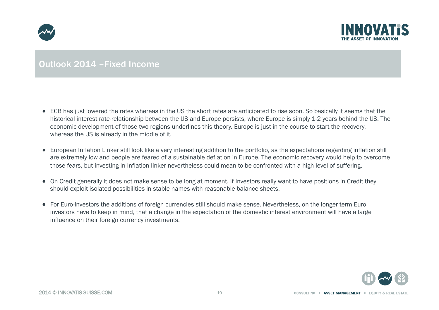



## Outlook 2014 –Fixed Income

- ECB has just lowered the rates whereas in the US the short rates are anticipated to rise soon. So basically it seems that the historical interest rate-relationship between the US and Europe persists, where Europe is simply 1-2 years behind the US. The economic development of those two regions underlines this theory. Europe is just in the course to start the recovery, whereas the US is already in the middle of it.
- European Inflation Linker still look like a very interesting addition to the portfolio, as the expectations regarding inflation still are extremely low and people are feared of a sustainable deflation in Europe. The economic recovery would help to overcome those fears, but investing in Inflation linker nevertheless could mean to be confronted with a high level of suffering.
- On Credit generally it does not make sense to be long at moment. If Investors really want to have positions in Credit they should exploit isolated possibilities in stable names with reasonable balance sheets.
- For Euro-investors the additions of foreign currencies still should make sense. Nevertheless, on the longer term Euro investors have to keep in mind, that a change in the expectation of the domestic interest environment will have a large influence on their foreign currency investments.

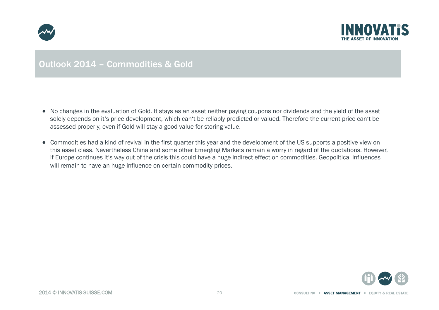



#### Outlook 2014 – Commodities & Gold

- No changes in the evaluation of Gold. It stays as an asset neither paying coupons nor dividends and the yield of the asset solely depends on it's price development, which can't be reliably predicted or valued. Therefore the current price can't be assessed properly, even if Gold will stay a good value for storing value.
- Commodities had a kind of revival in the first quarter this year and the development of the US supports a positive view on this asset class. Nevertheless China and some other Emerging Markets remain a worry in regard of the quotations. However, if Europe continues it's way out of the crisis this could have a huge indirect effect on commodities. Geopolitical influences will remain to have an huge influence on certain commodity prices.

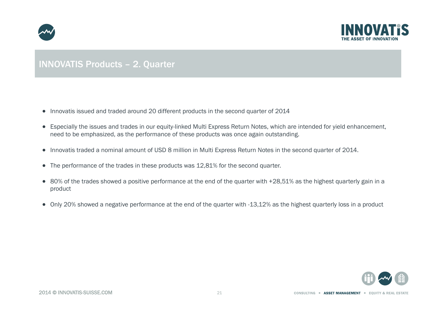



## INNOVATIS Products – 2. Quarter

- Innovatis issued and traded around 20 different products in the second quarter of 2014
- Especially the issues and trades in our equity-linked Multi Express Return Notes, which are intended for yield enhancement, need to be emphasized, as the performance of these products was once again outstanding.
- Innovatis traded a nominal amount of USD 8 million in Multi Express Return Notes in the second quarter of 2014.
- The performance of the trades in these products was 12,81% for the second quarter.
- 80% of the trades showed a positive performance at the end of the quarter with +28,51% as the highest quarterly gain in a product
- Only 20% showed a negative performance at the end of the quarter with -13,12% as the highest quarterly loss in a product